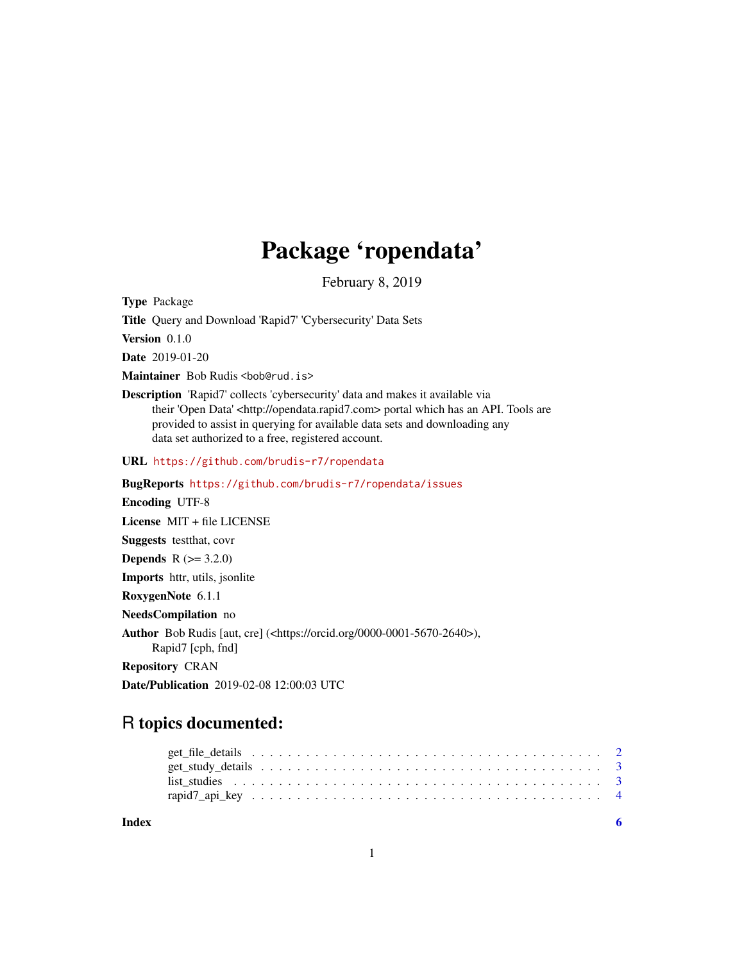## Package 'ropendata'

February 8, 2019

<span id="page-0-0"></span>Type Package

Title Query and Download 'Rapid7' 'Cybersecurity' Data Sets

Version 0.1.0

Date 2019-01-20

Maintainer Bob Rudis <br/>bob@rud.is>

Description 'Rapid7' collects 'cybersecurity' data and makes it available via their 'Open Data' <http://opendata.rapid7.com> portal which has an API. Tools are provided to assist in querying for available data sets and downloading any data set authorized to a free, registered account.

URL <https://github.com/brudis-r7/ropendata>

BugReports <https://github.com/brudis-r7/ropendata/issues>

Encoding UTF-8

License MIT + file LICENSE

Suggests testthat, covr

**Depends**  $R (= 3.2.0)$ 

Imports httr, utils, jsonlite

RoxygenNote 6.1.1

NeedsCompilation no

Author Bob Rudis [aut, cre] (<https://orcid.org/0000-0001-5670-2640>), Rapid7 [cph, fnd]

Repository CRAN

Date/Publication 2019-02-08 12:00:03 UTC

### R topics documented:

| get file details response to the contract of the details response to the contract of the details of the contract of the details of the details of the details of the details of the details of the details of the details of t |  |
|--------------------------------------------------------------------------------------------------------------------------------------------------------------------------------------------------------------------------------|--|
|                                                                                                                                                                                                                                |  |
|                                                                                                                                                                                                                                |  |
|                                                                                                                                                                                                                                |  |
|                                                                                                                                                                                                                                |  |

**Index** [6](#page-5-0) **6**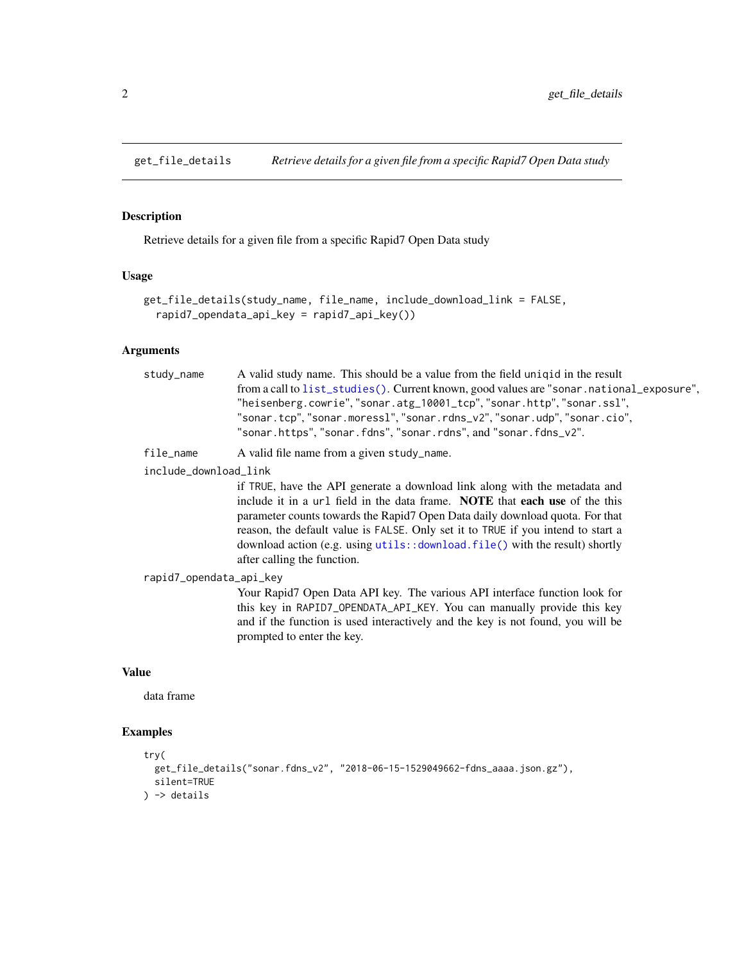<span id="page-1-0"></span>

#### Description

Retrieve details for a given file from a specific Rapid7 Open Data study

#### Usage

```
get_file_details(study_name, file_name, include_download_link = FALSE,
  rapid7_opendata_api_key = rapid7_api_key())
```
#### Arguments

| study_name | A valid study name. This should be a value from the field unique in the result           |  |  |  |
|------------|------------------------------------------------------------------------------------------|--|--|--|
|            | from a call to list_studies(). Current known, good values are "sonar.national_exposure", |  |  |  |
|            | "heisenberg.cowrie","sonar.atg_10001_tcp","sonar.http","sonar.ssl",                      |  |  |  |
|            | "sonar.tcp","sonar.moress1","sonar.rdns_v2","sonar.udp","sonar.cio",                     |  |  |  |
|            | "sonar.https", "sonar.fdns", "sonar.rdns", and "sonar.fdns_v2".                          |  |  |  |
|            |                                                                                          |  |  |  |

file\_name A valid file name from a given study\_name.

include\_download\_link

if TRUE, have the API generate a download link along with the metadata and include it in a url field in the data frame. NOTE that each use of the this parameter counts towards the Rapid7 Open Data daily download quota. For that reason, the default value is FALSE. Only set it to TRUE if you intend to start a download action (e.g. using [utils::download.file\(\)](#page-0-0) with the result) shortly after calling the function.

```
rapid7_opendata_api_key
```
Your Rapid7 Open Data API key. The various API interface function look for this key in RAPID7\_OPENDATA\_API\_KEY. You can manually provide this key and if the function is used interactively and the key is not found, you will be prompted to enter the key.

#### Value

data frame

#### Examples

```
try(
 get_file_details("sonar.fdns_v2", "2018-06-15-1529049662-fdns_aaaa.json.gz"),
 silent=TRUE
) -> details
```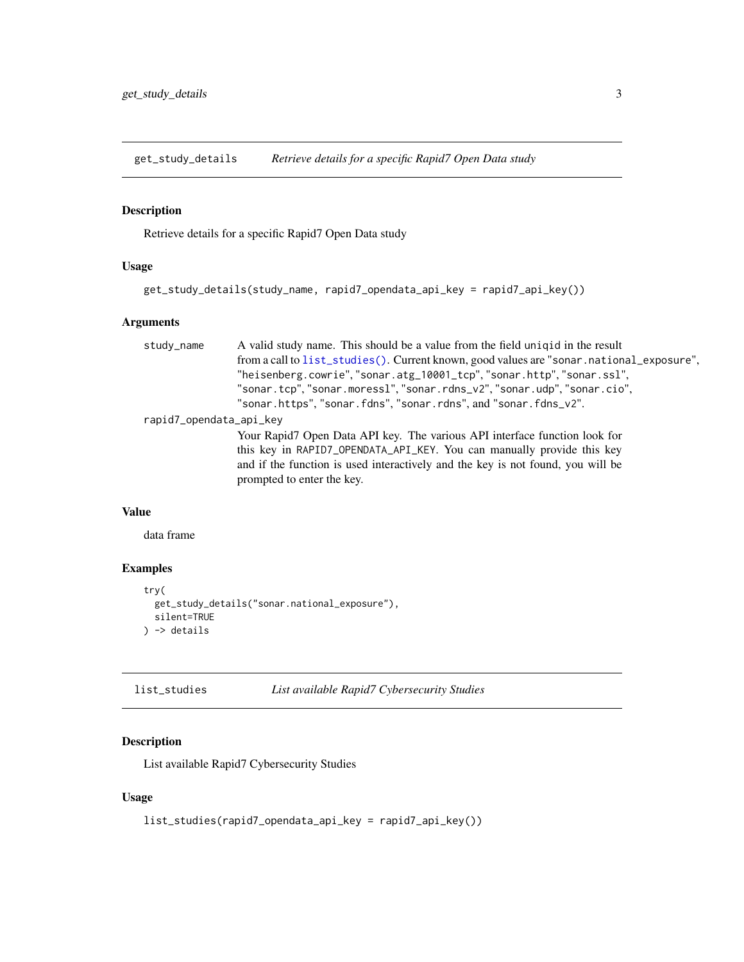<span id="page-2-0"></span>get\_study\_details *Retrieve details for a specific Rapid7 Open Data study*

#### Description

Retrieve details for a specific Rapid7 Open Data study

#### Usage

```
get_study_details(study_name, rapid7_opendata_api_key = rapid7_api_key())
```
#### Arguments

| A valid study name. This should be a value from the field unique in the result<br>study_name |                                                                                          |  |  |  |  |
|----------------------------------------------------------------------------------------------|------------------------------------------------------------------------------------------|--|--|--|--|
|                                                                                              | from a call to list_studies(). Current known, good values are "sonar.national_exposure", |  |  |  |  |
|                                                                                              | "heisenberg.cowrie", "sonar.atg_10001_tcp", "sonar.http", "sonar.ssl",                   |  |  |  |  |
|                                                                                              | "sonar.tcp", "sonar.moress1", "sonar.rdns_v2", "sonar.udp", "sonar.cio",                 |  |  |  |  |
|                                                                                              | "sonar.https", "sonar.fdns", "sonar.rdns", and "sonar.fdns_v2".                          |  |  |  |  |
| rapid7_opendata_api_key                                                                      |                                                                                          |  |  |  |  |
|                                                                                              | Your Rapid7 Open Data API key. The various API interface function look for               |  |  |  |  |
|                                                                                              | this key in RAPID7_OPENDATA_API_KEY. You can manually provide this key                   |  |  |  |  |
|                                                                                              | and if the function is used interactively and the key is not found, you will be          |  |  |  |  |
|                                                                                              | prompted to enter the key.                                                               |  |  |  |  |
|                                                                                              |                                                                                          |  |  |  |  |

#### Value

data frame

#### Examples

```
try(
  get_study_details("sonar.national_exposure"),
  silent=TRUE
) -> details
```
<span id="page-2-1"></span>

| list_studies | List available Rapid7 Cybersecurity Studies |
|--------------|---------------------------------------------|
|              |                                             |

#### Description

List available Rapid7 Cybersecurity Studies

#### Usage

```
list_studies(rapid7_opendata_api_key = rapid7_api_key())
```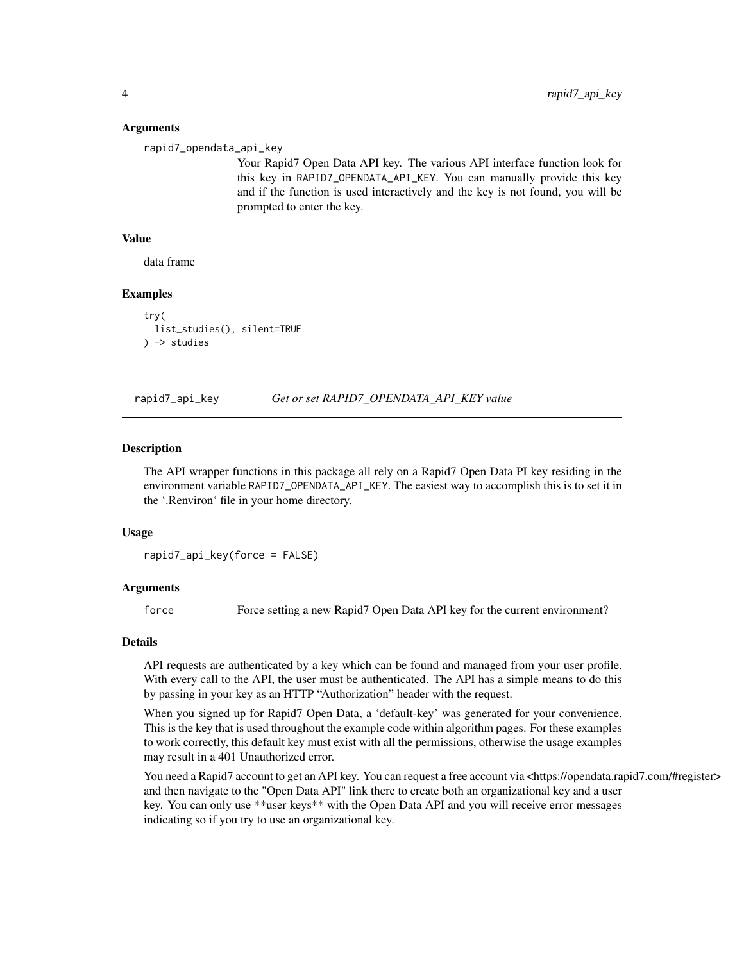#### Arguments

rapid7\_opendata\_api\_key

Your Rapid7 Open Data API key. The various API interface function look for this key in RAPID7\_OPENDATA\_API\_KEY. You can manually provide this key and if the function is used interactively and the key is not found, you will be prompted to enter the key.

#### Value

data frame

#### Examples

```
try(
 list_studies(), silent=TRUE
) -> studies
```
rapid7\_api\_key *Get or set RAPID7\_OPENDATA\_API\_KEY value*

#### **Description**

The API wrapper functions in this package all rely on a Rapid7 Open Data PI key residing in the environment variable RAPID7\_OPENDATA\_API\_KEY. The easiest way to accomplish this is to set it in the '.Renviron' file in your home directory.

#### Usage

rapid7\_api\_key(force = FALSE)

#### Arguments

force Force setting a new Rapid7 Open Data API key for the current environment?

#### Details

API requests are authenticated by a key which can be found and managed from your user profile. With every call to the API, the user must be authenticated. The API has a simple means to do this by passing in your key as an HTTP "Authorization" header with the request.

When you signed up for Rapid7 Open Data, a 'default-key' was generated for your convenience. This is the key that is used throughout the example code within algorithm pages. For these examples to work correctly, this default key must exist with all the permissions, otherwise the usage examples may result in a 401 Unauthorized error.

You need a Rapid7 account to get an API key. You can request a free account via <https://opendata.rapid7.com/#register> and then navigate to the "Open Data API" link there to create both an organizational key and a user key. You can only use \*\*user keys\*\* with the Open Data API and you will receive error messages indicating so if you try to use an organizational key.

<span id="page-3-0"></span>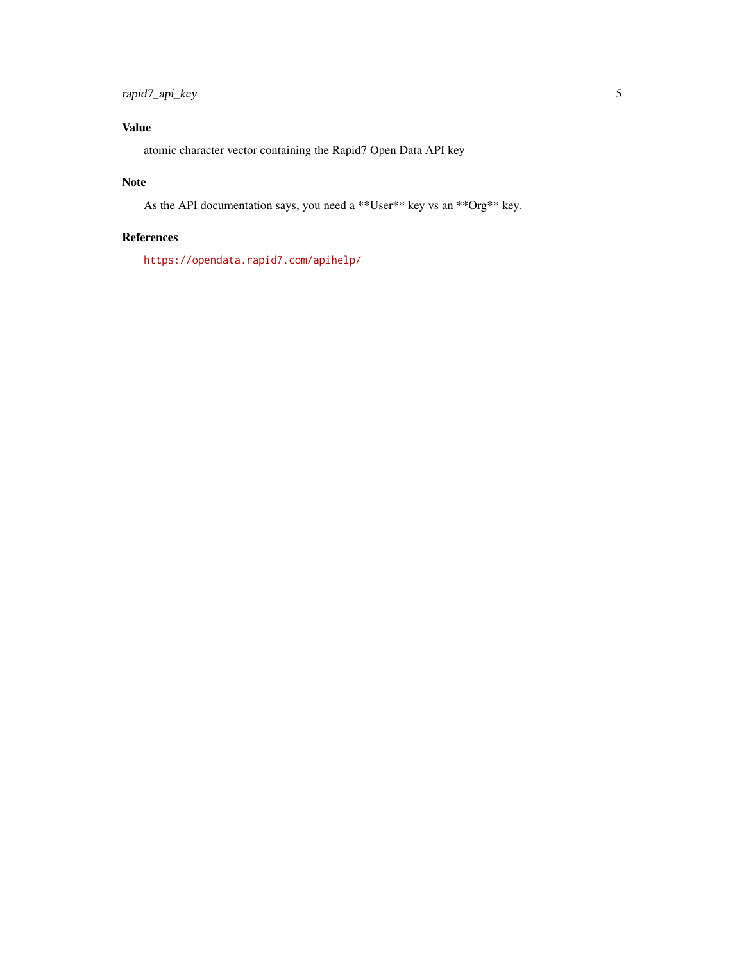#### Value

atomic character vector containing the Rapid7 Open Data API key

#### Note

As the API documentation says, you need a \*\*User\*\* key vs an \*\*Org\*\* key.

#### References

<https://opendata.rapid7.com/apihelp/>